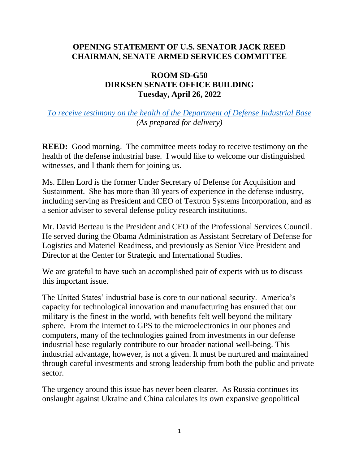## **OPENING STATEMENT OF U.S. SENATOR JACK REED CHAIRMAN, SENATE ARMED SERVICES COMMITTEE**

## **ROOM SD-G50 DIRKSEN SENATE OFFICE BUILDING Tuesday, April 26, 2022**

## *[To receive testimony on the health of the Department](https://www.armed-services.senate.gov/hearings/to-receive-testimony-on-the-health-of-the-defense-industrial-base) of Defense Industrial Base (As prepared for delivery)*

**REED:** Good morning. The committee meets today to receive testimony on the health of the defense industrial base. I would like to welcome our distinguished witnesses, and I thank them for joining us.

Ms. Ellen Lord is the former Under Secretary of Defense for Acquisition and Sustainment. She has more than 30 years of experience in the defense industry, including serving as President and CEO of Textron Systems Incorporation, and as a senior adviser to several defense policy research institutions.

Mr. David Berteau is the President and CEO of the Professional Services Council. He served during the Obama Administration as Assistant Secretary of Defense for Logistics and Materiel Readiness, and previously as Senior Vice President and Director at the Center for Strategic and International Studies.

We are grateful to have such an accomplished pair of experts with us to discuss this important issue.

The United States' industrial base is core to our national security. America's capacity for technological innovation and manufacturing has ensured that our military is the finest in the world, with benefits felt well beyond the military sphere. From the internet to GPS to the microelectronics in our phones and computers, many of the technologies gained from investments in our defense industrial base regularly contribute to our broader national well-being. This industrial advantage, however, is not a given. It must be nurtured and maintained through careful investments and strong leadership from both the public and private sector.

The urgency around this issue has never been clearer. As Russia continues its onslaught against Ukraine and China calculates its own expansive geopolitical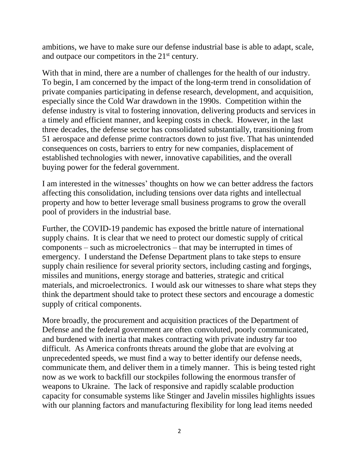ambitions, we have to make sure our defense industrial base is able to adapt, scale, and outpace our competitors in the  $21<sup>st</sup>$  century.

With that in mind, there are a number of challenges for the health of our industry. To begin, I am concerned by the impact of the long-term trend in consolidation of private companies participating in defense research, development, and acquisition, especially since the Cold War drawdown in the 1990s. Competition within the defense industry is vital to fostering innovation, delivering products and services in a timely and efficient manner, and keeping costs in check. However, in the last three decades, the defense sector has consolidated substantially, transitioning from 51 aerospace and defense prime contractors down to just five. That has unintended consequences on costs, barriers to entry for new companies, displacement of established technologies with newer, innovative capabilities, and the overall buying power for the federal government.

I am interested in the witnesses' thoughts on how we can better address the factors affecting this consolidation, including tensions over data rights and intellectual property and how to better leverage small business programs to grow the overall pool of providers in the industrial base.

Further, the COVID-19 pandemic has exposed the brittle nature of international supply chains. It is clear that we need to protect our domestic supply of critical components – such as microelectronics – that may be interrupted in times of emergency. I understand the Defense Department plans to take steps to ensure supply chain resilience for several priority sectors, including casting and forgings, missiles and munitions, energy storage and batteries, strategic and critical materials, and microelectronics. I would ask our witnesses to share what steps they think the department should take to protect these sectors and encourage a domestic supply of critical components.

More broadly, the procurement and acquisition practices of the Department of Defense and the federal government are often convoluted, poorly communicated, and burdened with inertia that makes contracting with private industry far too difficult. As America confronts threats around the globe that are evolving at unprecedented speeds, we must find a way to better identify our defense needs, communicate them, and deliver them in a timely manner. This is being tested right now as we work to backfill our stockpiles following the enormous transfer of weapons to Ukraine. The lack of responsive and rapidly scalable production capacity for consumable systems like Stinger and Javelin missiles highlights issues with our planning factors and manufacturing flexibility for long lead items needed